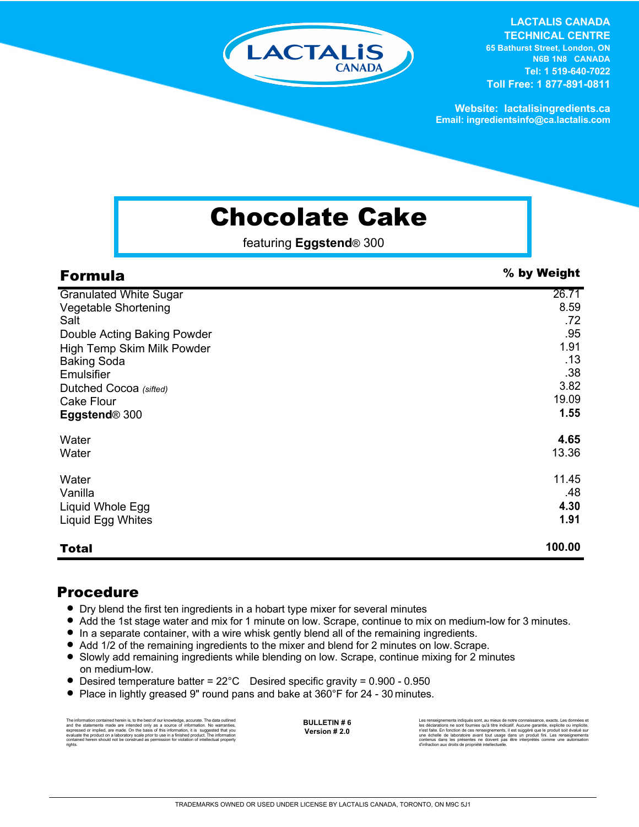

**LACTALIS CANADA TECHNICAL CENTRE 65 Bathurst Street, London, ON N6B 1N8 CANADA Tel: 1 519-640-7022 Toll Free: 1 877-891-0811**

**Website: lactalisingredients.ca Email: ingredientsinfo@ca.lactalis.com**

## Chocolate Cake

featuring **Eggstend**® 300

| <b>Formula</b>                | % by Weight |
|-------------------------------|-------------|
| <b>Granulated White Sugar</b> | 26.71       |
| Vegetable Shortening          | 8.59        |
| Salt                          | .72         |
| Double Acting Baking Powder   | .95         |
| High Temp Skim Milk Powder    | 1.91        |
| <b>Baking Soda</b>            | .13         |
| Emulsifier                    | .38         |
| Dutched Cocoa (sifted)        | 3.82        |
| <b>Cake Flour</b>             | 19.09       |
| Eggstend® 300                 | 1.55        |
| Water                         | 4.65        |
| Water                         | 13.36       |
| Water                         | 11.45       |
| Vanilla                       | .48         |
| Liquid Whole Egg              | 4.30        |
| Liquid Egg Whites             | 1.91        |
| <b>Total</b>                  | 100.00      |

## Procedure

- = Dry blend the first ten ingredients in a hobart type mixer for several minutes
- Add the 1st stage water and mix for 1 minute on low. Scrape, continue to mix on medium-low for 3 minutes.
- = In a separate container, with a wire whisk gently blend all of the remaining ingredients.
- Add 1/2 of the remaining ingredients to the mixer and blend for 2 minutes on low. Scrape.
- Slowly add remaining ingredients while blending on low. Scrape, continue mixing for 2 minutes on medium-low.
- Desired temperature batter =  $22^{\circ}$ C Desired specific gravity =  $0.900$  0.950
- Place in lightly greased 9" round pans and bake at 360°F for 24 30 minutes.

The information contained herein is, to the best of our knowledge, accurate. The data cutlined the statements made are intended only as a source of information. No warranties, expressed or implied, are made. On the basis o

**BULLETIN # 6 Version # 2.0**

Les renseignements indiqués sont, au mieux de notre connaissance, exacts. Les données et<br>les déclarations ne sont fournies qu'à titre indicatif. Aucune garantie, explicite ou implicite,<br>riest faite. En fonction de ces rens